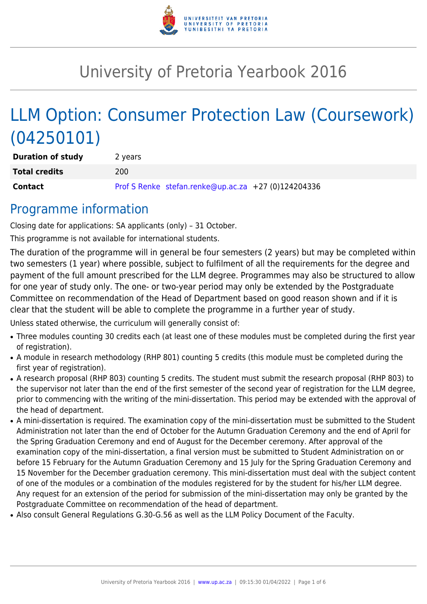

# University of Pretoria Yearbook 2016

# LLM Option: Consumer Protection Law (Coursework) (04250101)

| <b>Duration of study</b> | 2 years |                                                     |  |
|--------------------------|---------|-----------------------------------------------------|--|
| <b>Total credits</b>     | 200     |                                                     |  |
| <b>Contact</b>           |         | Prof S Renke stefan.renke@up.ac.za +27 (0)124204336 |  |

## Programme information

Closing date for applications: SA applicants (only) – 31 October.

This programme is not available for international students.

The duration of the programme will in general be four semesters (2 years) but may be completed within two semesters (1 year) where possible, subject to fulfilment of all the requirements for the degree and payment of the full amount prescribed for the LLM degree. Programmes may also be structured to allow for one year of study only. The one- or two-year period may only be extended by the Postgraduate Committee on recommendation of the Head of Department based on good reason shown and if it is clear that the student will be able to complete the programme in a further year of study.

Unless stated otherwise, the curriculum will generally consist of:

- Three modules counting 30 credits each (at least one of these modules must be completed during the first year of registration).
- A module in research methodology (RHP 801) counting 5 credits (this module must be completed during the first year of registration).
- A research proposal (RHP 803) counting 5 credits. The student must submit the research proposal (RHP 803) to the supervisor not later than the end of the first semester of the second year of registration for the LLM degree, prior to commencing with the writing of the mini-dissertation. This period may be extended with the approval of the head of department.
- A mini-dissertation is required. The examination copy of the mini-dissertation must be submitted to the Student Administration not later than the end of October for the Autumn Graduation Ceremony and the end of April for the Spring Graduation Ceremony and end of August for the December ceremony. After approval of the examination copy of the mini-dissertation, a final version must be submitted to Student Administration on or before 15 February for the Autumn Graduation Ceremony and 15 July for the Spring Graduation Ceremony and 15 November for the December graduation ceremony. This mini-dissertation must deal with the subject content of one of the modules or a combination of the modules registered for by the student for his/her LLM degree. Any request for an extension of the period for submission of the mini-dissertation may only be granted by the Postgraduate Committee on recommendation of the head of department.
- Also consult General Regulations G.30-G.56 as well as the LLM Policy Document of the Faculty.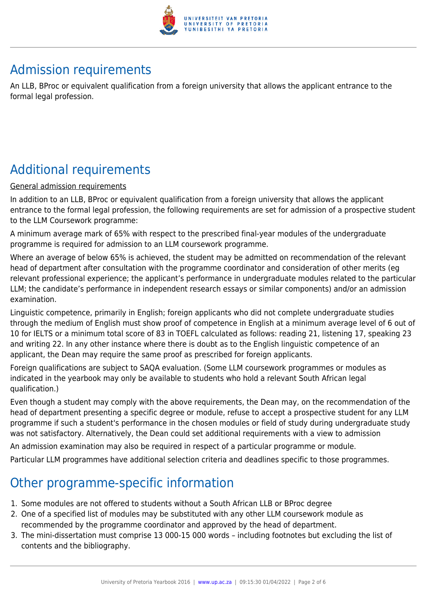

# Admission requirements

An LLB, BProc or equivalent qualification from a foreign university that allows the applicant entrance to the formal legal profession.

# Additional requirements

#### General admission requirements

In addition to an LLB, BProc or equivalent qualification from a foreign university that allows the applicant entrance to the formal legal profession, the following requirements are set for admission of a prospective student to the LLM Coursework programme:

A minimum average mark of 65% with respect to the prescribed final-year modules of the undergraduate programme is required for admission to an LLM coursework programme.

Where an average of below 65% is achieved, the student may be admitted on recommendation of the relevant head of department after consultation with the programme coordinator and consideration of other merits (eg relevant professional experience; the applicant's performance in undergraduate modules related to the particular LLM; the candidate's performance in independent research essays or similar components) and/or an admission examination.

Linguistic competence, primarily in English; foreign applicants who did not complete undergraduate studies through the medium of English must show proof of competence in English at a minimum average level of 6 out of 10 for IELTS or a minimum total score of 83 in TOEFL calculated as follows: reading 21, listening 17, speaking 23 and writing 22. In any other instance where there is doubt as to the English linguistic competence of an applicant, the Dean may require the same proof as prescribed for foreign applicants.

Foreign qualifications are subject to SAQA evaluation. (Some LLM coursework programmes or modules as indicated in the yearbook may only be available to students who hold a relevant South African legal qualification.)

Even though a student may comply with the above requirements, the Dean may, on the recommendation of the head of department presenting a specific degree or module, refuse to accept a prospective student for any LLM programme if such a student's performance in the chosen modules or field of study during undergraduate study was not satisfactory. Alternatively, the Dean could set additional requirements with a view to admission

An admission examination may also be required in respect of a particular programme or module.

Particular LLM programmes have additional selection criteria and deadlines specific to those programmes.

# Other programme-specific information

- 1. Some modules are not offered to students without a South African LLB or BProc degree
- 2. One of a specified list of modules may be substituted with any other LLM coursework module as recommended by the programme coordinator and approved by the head of department.
- 3. The mini-dissertation must comprise 13 000-15 000 words including footnotes but excluding the list of contents and the bibliography.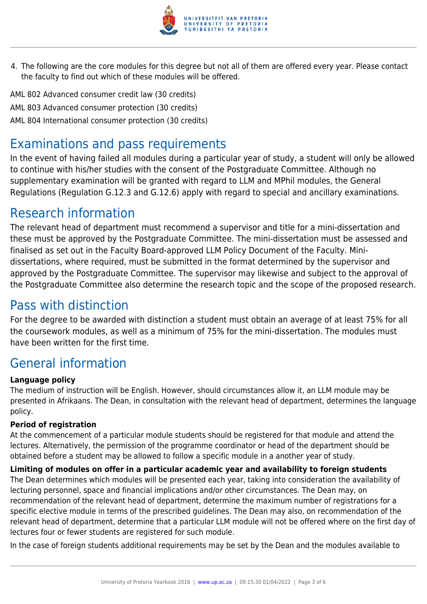

4. The following are the core modules for this degree but not all of them are offered every year. Please contact the faculty to find out which of these modules will be offered.

AML 802 Advanced consumer credit law (30 credits) AML 803 Advanced consumer protection (30 credits) AML 804 International consumer protection (30 credits)

## Examinations and pass requirements

In the event of having failed all modules during a particular year of study, a student will only be allowed to continue with his/her studies with the consent of the Postgraduate Committee. Although no supplementary examination will be granted with regard to LLM and MPhil modules, the General Regulations (Regulation G.12.3 and G.12.6) apply with regard to special and ancillary examinations.

## Research information

The relevant head of department must recommend a supervisor and title for a mini-dissertation and these must be approved by the Postgraduate Committee. The mini-dissertation must be assessed and finalised as set out in the Faculty Board-approved LLM Policy Document of the Faculty. Minidissertations, where required, must be submitted in the format determined by the supervisor and approved by the Postgraduate Committee. The supervisor may likewise and subject to the approval of the Postgraduate Committee also determine the research topic and the scope of the proposed research.

## Pass with distinction

For the degree to be awarded with distinction a student must obtain an average of at least 75% for all the coursework modules, as well as a minimum of 75% for the mini-dissertation. The modules must have been written for the first time.

# General information

### **Language policy**

The medium of instruction will be English. However, should circumstances allow it, an LLM module may be presented in Afrikaans. The Dean, in consultation with the relevant head of department, determines the language policy.

### **Period of registration**

At the commencement of a particular module students should be registered for that module and attend the lectures. Alternatively, the permission of the programme coordinator or head of the department should be obtained before a student may be allowed to follow a specific module in a another year of study.

### **Limiting of modules on offer in a particular academic year and availability to foreign students**

The Dean determines which modules will be presented each year, taking into consideration the availability of lecturing personnel, space and financial implications and/or other circumstances. The Dean may, on recommendation of the relevant head of department, determine the maximum number of registrations for a specific elective module in terms of the prescribed guidelines. The Dean may also, on recommendation of the relevant head of department, determine that a particular LLM module will not be offered where on the first day of lectures four or fewer students are registered for such module.

In the case of foreign students additional requirements may be set by the Dean and the modules available to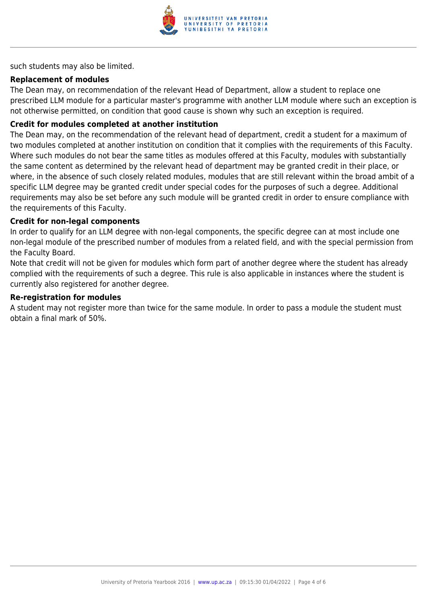

such students may also be limited.

#### **Replacement of modules**

The Dean may, on recommendation of the relevant Head of Department, allow a student to replace one prescribed LLM module for a particular master's programme with another LLM module where such an exception is not otherwise permitted, on condition that good cause is shown why such an exception is required.

#### **Credit for modules completed at another institution**

The Dean may, on the recommendation of the relevant head of department, credit a student for a maximum of two modules completed at another institution on condition that it complies with the requirements of this Faculty. Where such modules do not bear the same titles as modules offered at this Faculty, modules with substantially the same content as determined by the relevant head of department may be granted credit in their place, or where, in the absence of such closely related modules, modules that are still relevant within the broad ambit of a specific LLM degree may be granted credit under special codes for the purposes of such a degree. Additional requirements may also be set before any such module will be granted credit in order to ensure compliance with the requirements of this Faculty.

#### **Credit for non-legal components**

In order to qualify for an LLM degree with non-legal components, the specific degree can at most include one non-legal module of the prescribed number of modules from a related field, and with the special permission from the Faculty Board.

Note that credit will not be given for modules which form part of another degree where the student has already complied with the requirements of such a degree. This rule is also applicable in instances where the student is currently also registered for another degree.

#### **Re-registration for modules**

A student may not register more than twice for the same module. In order to pass a module the student must obtain a final mark of 50%.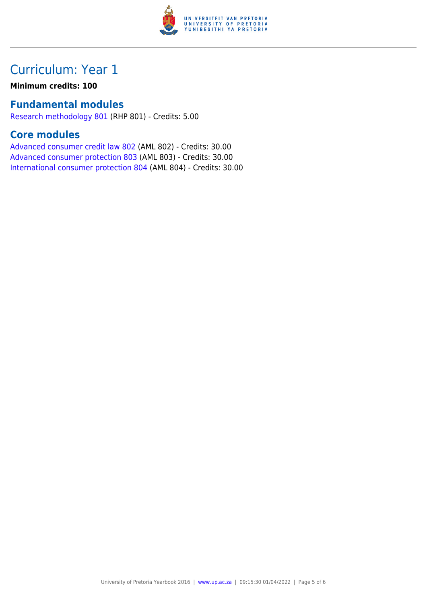

# Curriculum: Year 1

**Minimum credits: 100**

### **Fundamental modules**

[Research methodology 801](https://www.up.ac.za/yearbooks/2016/modules/view/RHP 801) (RHP 801) - Credits: 5.00

### **Core modules**

[Advanced consumer credit law 802](https://www.up.ac.za/yearbooks/2016/modules/view/AML 802) (AML 802) - Credits: 30.00 [Advanced consumer protection 803](https://www.up.ac.za/yearbooks/2016/modules/view/AML 803) (AML 803) - Credits: 30.00 [International consumer protection 804](https://www.up.ac.za/yearbooks/2016/modules/view/AML 804) (AML 804) - Credits: 30.00